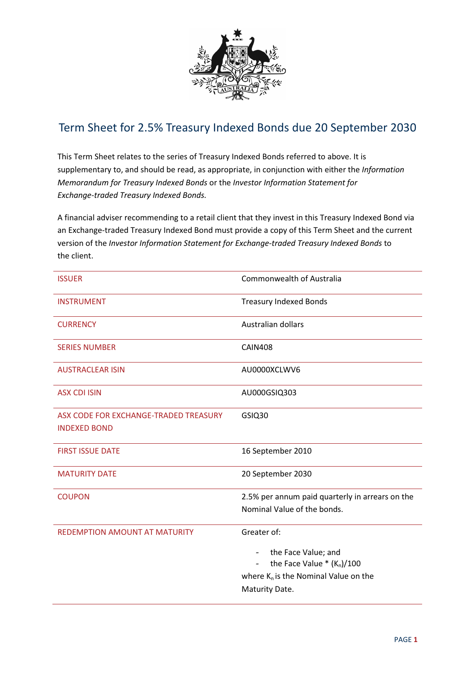

## Term Sheet for 2.5% Treasury Indexed Bonds due 20 September 2030

This Term Sheet relates to the series of Treasury Indexed Bonds referred to above. It is supplementary to, and should be read, as appropriate, in conjunction with either the Information Memorandum for Treasury Indexed Bonds or the Investor Information Statement for Exchange-traded Treasury Indexed Bonds.

A financial adviser recommending to a retail client that they invest in this Treasury Indexed Bond via an Exchange-traded Treasury Indexed Bond must provide a copy of this Term Sheet and the current version of the Investor Information Statement for Exchange-traded Treasury Indexed Bonds to the client.

| <b>ISSUER</b>                                                | <b>Commonwealth of Australia</b>                                                                                                                                                                |
|--------------------------------------------------------------|-------------------------------------------------------------------------------------------------------------------------------------------------------------------------------------------------|
| <b>INSTRUMENT</b>                                            | <b>Treasury Indexed Bonds</b>                                                                                                                                                                   |
| <b>CURRENCY</b>                                              | Australian dollars                                                                                                                                                                              |
| <b>SERIES NUMBER</b>                                         | <b>CAIN408</b>                                                                                                                                                                                  |
| <b>AUSTRACLEAR ISIN</b>                                      | AU0000XCLWV6                                                                                                                                                                                    |
| <b>ASX CDI ISIN</b>                                          | AU000GSIQ303                                                                                                                                                                                    |
| ASX CODE FOR EXCHANGE-TRADED TREASURY<br><b>INDEXED BOND</b> | GSIQ30                                                                                                                                                                                          |
| <b>FIRST ISSUE DATE</b>                                      | 16 September 2010                                                                                                                                                                               |
| <b>MATURITY DATE</b>                                         | 20 September 2030                                                                                                                                                                               |
| <b>COUPON</b>                                                | 2.5% per annum paid quarterly in arrears on the<br>Nominal Value of the bonds.                                                                                                                  |
| <b>REDEMPTION AMOUNT AT MATURITY</b>                         | Greater of:<br>the Face Value; and<br>$\overline{\phantom{a}}$<br>the Face Value $*(K_n)/100$<br>$\overline{\phantom{a}}$<br>where K <sub>n</sub> is the Nominal Value on the<br>Maturity Date. |